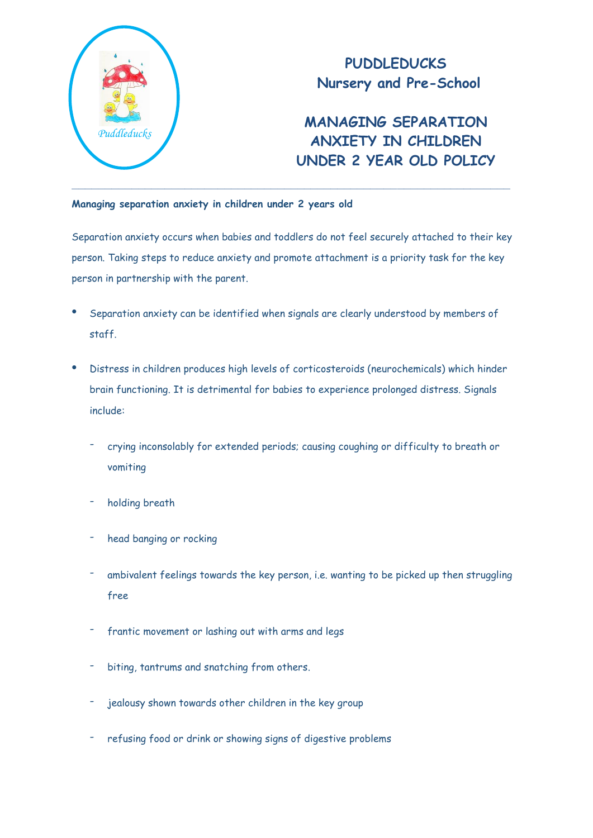

## **PUDDLEDUCKS Nursery and Pre-School**

## **MANAGING SEPARATION ANXIETY IN CHILDREN UNDER 2 YEAR OLD POLICY**

## **Managing separation anxiety in children under 2 years old**

Separation anxiety occurs when babies and toddlers do not feel securely attached to their key person. Taking steps to reduce anxiety and promote attachment is a priority task for the key person in partnership with the parent.

- Separation anxiety can be identified when signals are clearly understood by members of staff.
- Distress in children produces high levels of corticosteroids (neurochemicals) which hinder brain functioning. It is detrimental for babies to experience prolonged distress. Signals include:
	- crying inconsolably for extended periods; causing coughing or difficulty to breath or vomiting
	- holding breath
	- head banging or rocking
	- ambivalent feelings towards the key person, i.e. wanting to be picked up then struggling free
	- frantic movement or lashing out with arms and legs
	- biting, tantrums and snatching from others.
	- jealousy shown towards other children in the key group
	- refusing food or drink or showing signs of digestive problems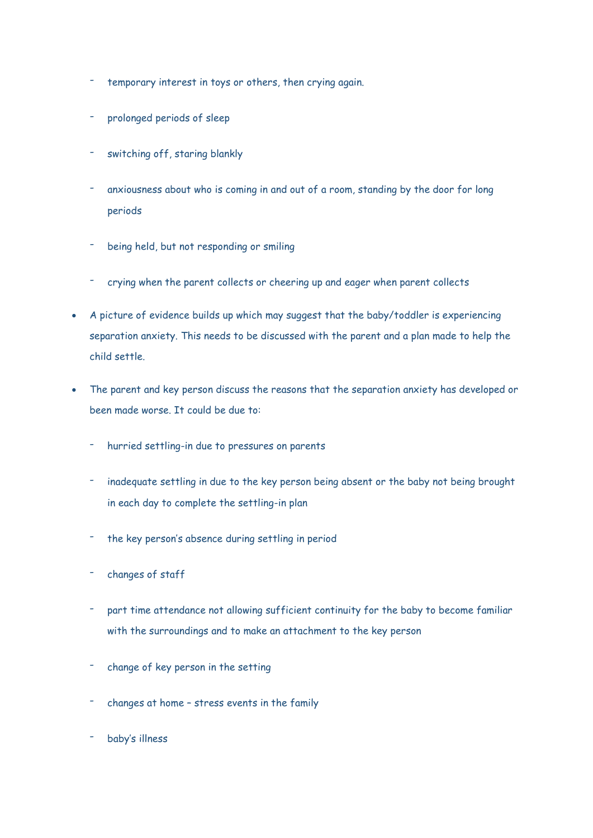- temporary interest in toys or others, then crying again.
- prolonged periods of sleep
- switching off, staring blankly
- anxiousness about who is coming in and out of a room, standing by the door for long periods
- being held, but not responding or smiling
- crying when the parent collects or cheering up and eager when parent collects
- A picture of evidence builds up which may suggest that the baby/toddler is experiencing separation anxiety. This needs to be discussed with the parent and a plan made to help the child settle.
- The parent and key person discuss the reasons that the separation anxiety has developed or been made worse. It could be due to:
	- hurried settling-in due to pressures on parents
	- inadequate settling in due to the key person being absent or the baby not being brought in each day to complete the settling-in plan
	- the key person's absence during settling in period
	- changes of staff
	- part time attendance not allowing sufficient continuity for the baby to become familiar with the surroundings and to make an attachment to the key person
	- change of key person in the setting
	- changes at home stress events in the family
	- baby's illness